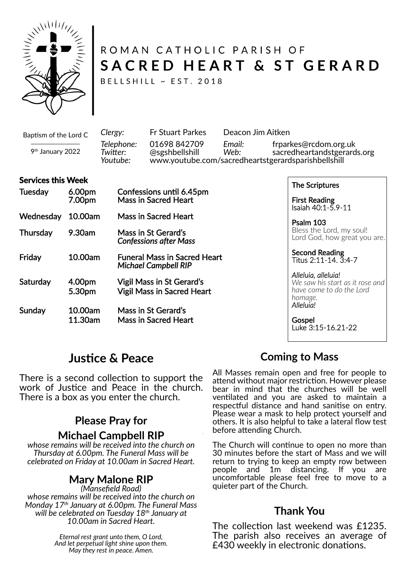

# ROMAN CATHOLIC PARISH OF SACRED HEART & ST GERARD

BELLSHILL ~ EST. 2018

Baptism of the Lord C

9 th January 2022

*Clergy:* Fr Stuart Parkes Deacon Jim Aitken *Telephone:* 01698 842709 *Email:* frparkes@rcdom.org.uk *Twi�er:* @sgshbellshill *Web:* sacredheartandstgerards.org *Youtube:* www.youtube.com/sacredheartstgerardsparishbellshill

#### **Services this Week**

| <b>Tuesday</b>  | 6.00pm<br>7.00pm   | Confessions until 6.45pm<br><b>Mass in Sacred Heart</b>            |
|-----------------|--------------------|--------------------------------------------------------------------|
| Wednesday       | 10.00am            | Mass in Sacred Heart                                               |
| <b>Thursday</b> | 9.30am             | Mass in St Gerard's<br><b>Confessions after Mass</b>               |
| Friday          | 10.00am            | <b>Funeral Mass in Sacred Heart</b><br><b>Michael Campbell RIP</b> |
| Saturday        | 4.00pm<br>5.30pm   | Vigil Mass in St Gerard's<br><b>Vigil Mass in Sacred Heart</b>     |
| Sunday          | 10.00am<br>11.30am | Mass in St Gerard's<br><b>Mass in Sacred Heart</b>                 |

The Scriptures

First Reading Isaiah 40:1-5.9-11

Psalm 103 Bless the Lord, my soul! Lord God, how great you are.

Second Reading Titus 2:11-14. 3:4-7

#### *Alleluia, alleluia! We saw his start as it rose and have come to do the Lord homage. Alleluia!*

**Gospel** Luke 3:15-16.21-22

## **Jus�ce & Peace**

There is a second collection to support the work of Justice and Peace in the church. There is a box as you enter the church.

# **Please Pray for**

**Michael Campbell RIP** *whose remains will be received into the church on Thursday at 6.00pm. The Funeral Mass will be*

*celebrated on Friday at 10.00am in Sacred Heart.*

## **Mary Malone RIP**

*(Mansefield Road) whose remains will be received into the church on Monday 17th January at 6.00pm. The Funeral Mass will be celebrated on Tuesday 18th January at 10.00am in Sacred Heart.*

> *Eternal rest grant unto them, O Lord, And let perpetual light shine upon them. May they rest in peace. Amen.*

## **Coming to Mass**

All Masses remain open and free for people to attend without major restriction. However please bear in mind that the churches will be well ventilated and you are asked to maintain a respectful distance and hand sanitise on entry. Please wear a mask to help protect yourself and others. It is also helpful to take a lateral flow test before attending Church.

The Church will continue to open no more than 30 minutes before the start of Mass and we will return to trying to keep an empty row between<br>people and 1m distancing. If you are 1m distancing. If you are uncomfortable please feel free to move to a quieter part of the Church.

## **Thank You**

The collection last weekend was £1235. The parish also receives an average of £430 weekly in electronic donations.